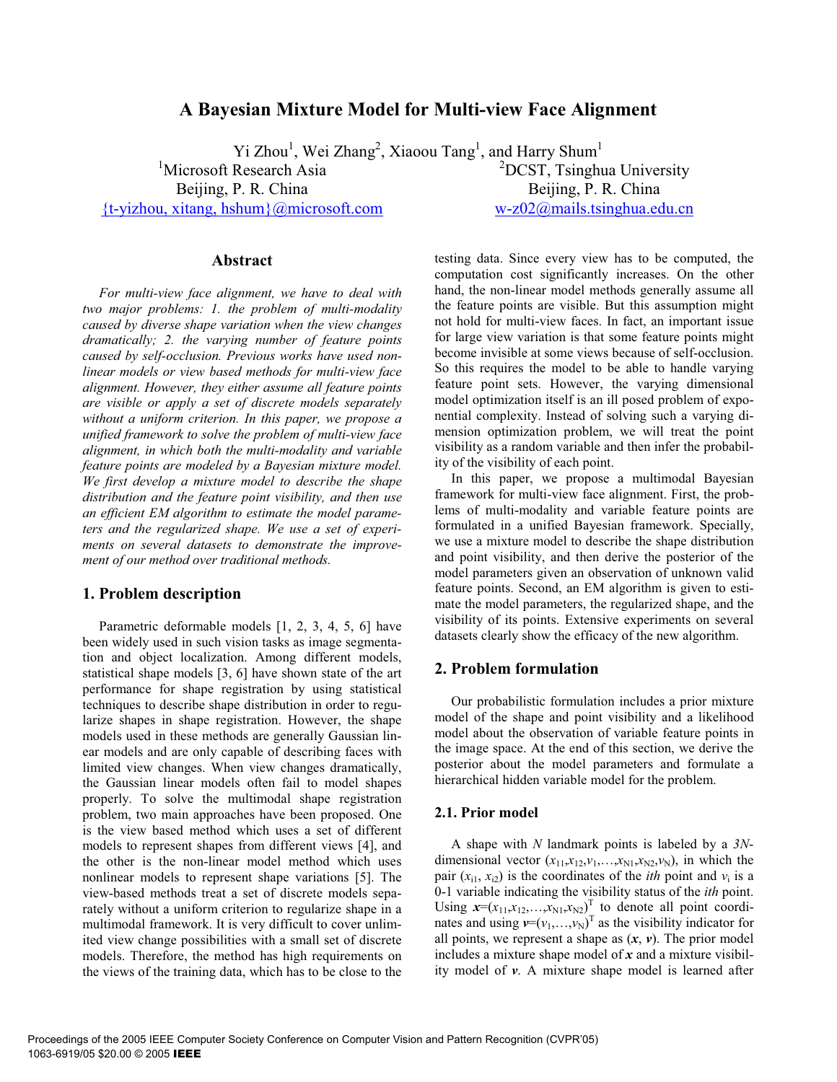# **A Bayesian Mixture Model for Multi-view Face Alignment**

Yi Zhou<sup>1</sup>, Wei Zhang<sup>2</sup>, Xiaoou Tang<sup>1</sup>, and Harry Shum<sup>1</sup> <sup>1</sup>Microsoft Research Asia Beijing, P. R. China {t-yizhou, xitang, hshum}@microsoft.com <sup>2</sup>DCST, Tsinghua University Beijing, P. R. China w-z02@mails.tsinghua.edu.cn

**Abstract** 

*For multi-view face alignment, we have to deal with two major problems: 1. the problem of multi-modality caused by diverse shape variation when the view changes dramatically; 2. the varying number of feature points caused by self-occlusion. Previous works have used nonlinear models or view based methods for multi-view face alignment. However, they either assume all feature points are visible or apply a set of discrete models separately without a uniform criterion. In this paper, we propose a unified framework to solve the problem of multi-view face alignment, in which both the multi-modality and variable feature points are modeled by a Bayesian mixture model. We first develop a mixture model to describe the shape distribution and the feature point visibility, and then use an efficient EM algorithm to estimate the model parameters and the regularized shape. We use a set of experiments on several datasets to demonstrate the improvement of our method over traditional methods.* 

## **1. Problem description**

Parametric deformable models [1, 2, 3, 4, 5, 6] have been widely used in such vision tasks as image segmentation and object localization. Among different models, statistical shape models [3, 6] have shown state of the art performance for shape registration by using statistical techniques to describe shape distribution in order to regularize shapes in shape registration. However, the shape models used in these methods are generally Gaussian linear models and are only capable of describing faces with limited view changes. When view changes dramatically, the Gaussian linear models often fail to model shapes properly. To solve the multimodal shape registration problem, two main approaches have been proposed. One is the view based method which uses a set of different models to represent shapes from different views [4], and the other is the non-linear model method which uses nonlinear models to represent shape variations [5]. The view-based methods treat a set of discrete models separately without a uniform criterion to regularize shape in a multimodal framework. It is very difficult to cover unlimited view change possibilities with a small set of discrete models. Therefore, the method has high requirements on the views of the training data, which has to be close to the

testing data. Since every view has to be computed, the computation cost significantly increases. On the other hand, the non-linear model methods generally assume all the feature points are visible. But this assumption might not hold for multi-view faces. In fact, an important issue for large view variation is that some feature points might become invisible at some views because of self-occlusion. So this requires the model to be able to handle varying feature point sets. However, the varying dimensional model optimization itself is an ill posed problem of exponential complexity. Instead of solving such a varying dimension optimization problem, we will treat the point visibility as a random variable and then infer the probability of the visibility of each point.

In this paper, we propose a multimodal Bayesian framework for multi-view face alignment. First, the problems of multi-modality and variable feature points are formulated in a unified Bayesian framework. Specially, we use a mixture model to describe the shape distribution and point visibility, and then derive the posterior of the model parameters given an observation of unknown valid feature points. Second, an EM algorithm is given to estimate the model parameters, the regularized shape, and the visibility of its points. Extensive experiments on several datasets clearly show the efficacy of the new algorithm.

## **2. Problem formulation**

Our probabilistic formulation includes a prior mixture model of the shape and point visibility and a likelihood model about the observation of variable feature points in the image space. At the end of this section, we derive the posterior about the model parameters and formulate a hierarchical hidden variable model for the problem.

## **2.1. Prior model**

A shape with *N* landmark points is labeled by a *3N*dimensional vector  $(x_{11}, x_{12}, v_1, \ldots, x_{N1}, x_{N2}, v_N)$ , in which the pair  $(x_{i1}, x_{i2})$  is the coordinates of the *ith* point and  $v_i$  is a 0-1 variable indicating the visibility status of the *ith* point. Using  $x=(x_{11},x_{12},\ldots,x_{N1},x_{N2})^T$  to denote all point coordinates and using  $v=(v_1,...,v_N)^T$  as the visibility indicator for all points, we represent a shape as  $(x, v)$ . The prior model includes a mixture shape model of *x* and a mixture visibility model of *v*. A mixture shape model is learned after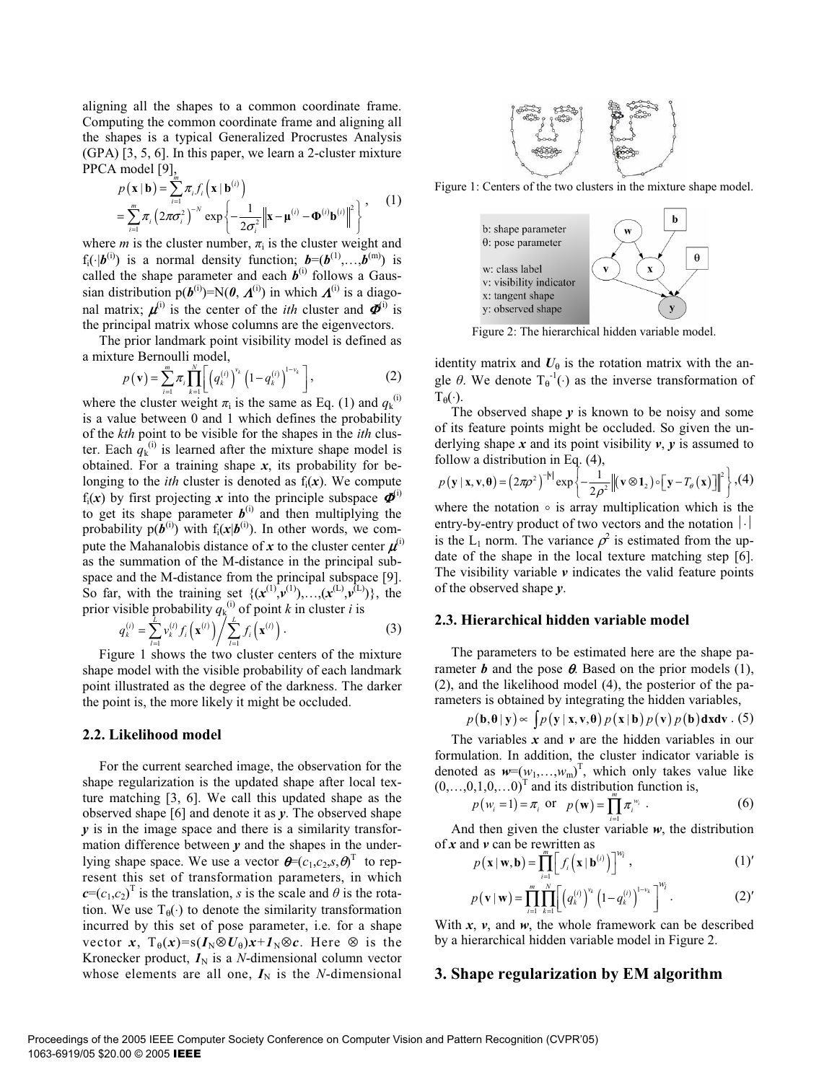aligning all the shapes to a common coordinate frame. Computing the common coordinate frame and aligning all the shapes is a typical Generalized Procrustes Analysis (GPA) [3, 5, 6]. In this paper, we learn a 2-cluster mixture PPCA model [9],

$$
p(\mathbf{x} \mid \mathbf{b}) = \sum_{i=1}^{n} \pi_i f_i(\mathbf{x} \mid \mathbf{b}^{(i)})
$$
  
= 
$$
\sum_{i=1}^{m} \pi_i (2\pi\sigma_i^2)^{-N} \exp \left\{-\frac{1}{2\sigma_i^2} \left\|\mathbf{x} - \mathbf{\mu}^{(i)} - \mathbf{\Phi}^{(i)} \mathbf{b}^{(i)}\right\|^2\right\},
$$
 (1)

where *m* is the cluster number,  $\pi$ <sub>i</sub> is the cluster weight and  $f_i(\cdot|\boldsymbol{b}^{(i)})$  is a normal density function;  $\boldsymbol{b}=(\boldsymbol{b}^{(1)},\ldots,\boldsymbol{b}^{(m)})$  is called the shape parameter and each  $b^{(i)}$  follows a Gaussian distribution  $p(b^{(i)})=N(0, \Lambda^{(i)})$  in which  $\Lambda^{(i)}$  is a diagonal matrix;  $\boldsymbol{\mu}^{(i)}$  is the center of the *ith* cluster and  $\boldsymbol{\Phi}^{(i)}$  is the principal matrix whose columns are the eigenvectors.

The prior landmark point visibility model is defined as a mixture Bernoulli model,

$$
p(\mathbf{v}) = \sum_{i=1}^{m} \pi_i \prod_{k=1}^{N} \left[ \left( q_k^{(i)} \right)^{v_k} \left( 1 - q_k^{(i)} \right)^{1 - v_k} \right],
$$
 (2)

where the cluster weight  $\pi_i$  is the same as Eq. (1) and  $q_k^{(i)}$ is a value between 0 and 1 which defines the probability of the *kth* point to be visible for the shapes in the *ith* cluster. Each  $q_k^{(i)}$  is learned after the mixture shape model is obtained. For a training shape *x*, its probability for belonging to the *ith* cluster is denoted as  $f_i(x)$ . We compute  $f_i(x)$  by first projecting x into the principle subspace  $\boldsymbol{\Phi}^{(i)}$ to get its shape parameter  $b^{(i)}$  and then multiplying the probability  $p(\hat{b}^{(i)})$  with  $f_i(x|b^{(i)})$ . In other words, we compute the Mahanalobis distance of *x* to the cluster center  $\mu^{(i)}$ as the summation of the M-distance in the principal subspace and the M-distance from the principal subspace [9]. So far, with the training set  $\{({\bf x}^{(1)}, {\bf v}^{(1)}), \dots, ({\bf x}^{(L)}, {\bf v}^{(L)})\}$ , the prior visible probability  $q_k^{(i)}$  of point *k* in cluster *i* is

$$
q_k^{(i)} = \sum_{l=1}^L v_k^{(l)} f_i(\mathbf{x}^{(l)}) / \sum_{l=1}^L f_i(\mathbf{x}^{(l)}) .
$$
 (3)

Figure 1 shows the two cluster centers of the mixture shape model with the visible probability of each landmark point illustrated as the degree of the darkness. The darker the point is, the more likely it might be occluded.

#### **2.2. Likelihood model**

For the current searched image, the observation for the shape regularization is the updated shape after local texture matching [3, 6]. We call this updated shape as the observed shape [6] and denote it as *y*. The observed shape *y* is in the image space and there is a similarity transformation difference between *y* and the shapes in the underlying shape space. We use a vector  $\boldsymbol{\theta} = (c_1, c_2, s, \theta)^T$  to represent this set of transformation parameters, in which  $c=(c_1,c_2)^T$  is the translation, *s* is the scale and  $\theta$  is the rotation. We use  $T_{\theta}(\cdot)$  to denote the similarity transformation incurred by this set of pose parameter, i.e. for a shape vector *x*,  $T_{\theta}(x) = s(I_N \otimes U_{\theta})x + I_N \otimes c$ . Here  $\otimes$  is the Kronecker product,  $I_N$  is a *N*-dimensional column vector whose elements are all one,  $I_N$  is the *N*-dimensional



Figure 1: Centers of the two clusters in the mixture shape model.



Figure 2: The hierarchical hidden variable model.

identity matrix and  $U_{\theta}$  is the rotation matrix with the angle  $\theta$ . We denote  $T_{\theta}^{-1}(\cdot)$  as the inverse transformation of  $T_{\theta}(\cdot)$ .

The observed shape *y* is known to be noisy and some of its feature points might be occluded. So given the underlying shape  $x$  and its point visibility  $v$ ,  $y$  is assumed to follow a distribution in Eq. (4),

$$
p(\mathbf{y} \mid \mathbf{x}, \mathbf{v}, \mathbf{\theta}) = (2\pi\rho^2)^{-|\mathbf{v}|} \exp\left\{-\frac{1}{2\rho^2} \left\| (\mathbf{v} \otimes \mathbf{1}_2) \circ \left[\mathbf{y} - T_{\theta}(\mathbf{x})\right] \right\|^2 \right\}, (4)
$$

where the notation  $\circ$  is array multiplication which is the entry-by-entry product of two vectors and the notation  $|\cdot|$ is the L<sub>1</sub> norm. The variance  $\rho^2$  is estimated from the update of the shape in the local texture matching step [6]. The visibility variable  $\nu$  indicates the valid feature points of the observed shape *y*.

#### **2.3. Hierarchical hidden variable model**

The parameters to be estimated here are the shape parameter  $\boldsymbol{b}$  and the pose  $\boldsymbol{\theta}$ . Based on the prior models (1), (2), and the likelihood model (4), the posterior of the parameters is obtained by integrating the hidden variables,

$$
p(\mathbf{b}, \mathbf{\theta} \mid \mathbf{y}) \propto \int p(\mathbf{y} \mid \mathbf{x}, \mathbf{v}, \mathbf{\theta}) p(\mathbf{x} \mid \mathbf{b}) p(\mathbf{v}) p(\mathbf{b}) \mathbf{dx} \mathbf{dv}. (5)
$$

The variables  $x$  and  $v$  are the hidden variables in our formulation. In addition, the cluster indicator variable is denoted as  $w=(w_1,...,w_m)^T$ , which only takes value like  $(0,...,0,1,0,...0)^T$  and its distribution function is,<br> $n(w-1) = \pi$ ,  $\alpha(\mathbf{w}) = \prod_{k=1}^{m} \pi^w$ 

$$
p(w_i = 1) = \pi_i \text{ or } p(\mathbf{w}) = \prod_{i=1}^{m} \pi_i^{w_i} .
$$
 (6)

And then given the cluster variable  $w$ , the distribution of *x* and *v* can be rewritten as

$$
p(\mathbf{x} \mid \mathbf{w}, \mathbf{b}) = \prod_{i=1}^{m} \Big[ f_i\Big(\mathbf{x} \mid \mathbf{b}^{(i)}\Big) \Big]^{w_i}, \tag{1'}
$$

$$
p(\mathbf{v} \mid \mathbf{w}) = \prod_{i=1}^{m} \prod_{k=1}^{N} \left[ \left( q_k^{(i)} \right)^{v_k} \left( 1 - q_k^{(i)} \right)^{1 - v_k} \right]^{w_i} . \tag{2'}
$$

With  $x$ ,  $v$ , and  $w$ , the whole framework can be described by a hierarchical hidden variable model in Figure 2.

### **3. Shape regularization by EM algorithm**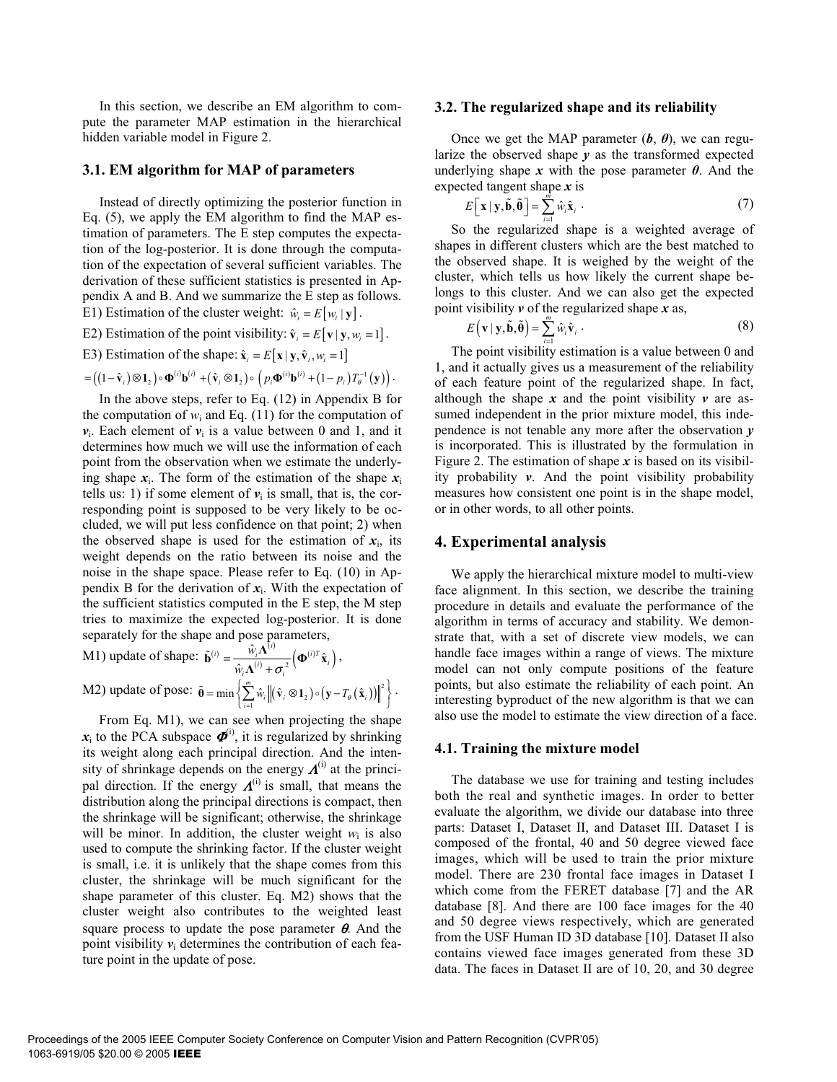In this section, we describe an EM algorithm to compute the parameter MAP estimation in the hierarchical hidden variable model in Figure 2.

#### **3.1. EM algorithm for MAP of parameters**

Instead of directly optimizing the posterior function in Eq. (5), we apply the EM algorithm to find the MAP estimation of parameters. The E step computes the expectation of the log-posterior. It is done through the computation of the expectation of several sufficient variables. The derivation of these sufficient statistics is presented in Appendix A and B. And we summarize the E step as follows. E1) Estimation of the cluster weight:  $\hat{w}_i = E[w_i | y]$ .

E2) Estimation of the point visibility:  $\hat{\mathbf{v}}_i = E[\mathbf{v} | \mathbf{y}, w_i = 1].$ 

E3) Estimation of the shape:  $\hat{\mathbf{x}}_i = E[\mathbf{x} | \mathbf{y}, \hat{\mathbf{v}}_i, w_i = 1]$ 

$$
= \left( \left(1-\hat{\mathbf{v}}_i\right) \otimes \mathbf{1}_2\right) \circ \mathbf{\Phi}^{(i)} \mathbf{b}^{(i)} + \left(\hat{\mathbf{v}}_i \otimes \mathbf{1}_2\right) \circ \left(p_i \mathbf{\Phi}^{(i)} \mathbf{b}^{(i)} + \left(1-p_i\right) T_{\theta}^{-1} \left(\mathbf{y}\right)\right).
$$

In the above steps, refer to Eq. (12) in Appendix B for the computation of  $w_i$  and Eq. (11) for the computation of  $v_i$ . Each element of  $v_i$  is a value between 0 and 1, and it determines how much we will use the information of each point from the observation when we estimate the underlying shape  $x_i$ . The form of the estimation of the shape  $x_i$ tells us: 1) if some element of  $v_i$  is small, that is, the corresponding point is supposed to be very likely to be occluded, we will put less confidence on that point; 2) when the observed shape is used for the estimation of  $x_i$ , its weight depends on the ratio between its noise and the noise in the shape space. Please refer to Eq. (10) in Appendix B for the derivation of  $x_i$ . With the expectation of the sufficient statistics computed in the E step, the M step tries to maximize the expected log-posterior. It is done separately for the shape and pose parameters,

M1) update of shape: 
$$
\tilde{\mathbf{b}}^{(i)} = \frac{\hat{w}_i \mathbf{\Lambda}^{(i)}}{\hat{w}_i \mathbf{\Lambda}^{(i)} + \sigma_i^2} \left( \mathbf{\Phi}^{(i)T} \hat{\mathbf{x}}_i \right),
$$
  
M2) update of pose:  $\tilde{\mathbf{\Theta}} = \min \left\{ \sum_{i=1}^m \hat{w}_i \left\| (\hat{\mathbf{v}}_i \otimes \mathbf{1}_2) \circ (\mathbf{y} - T_\theta(\hat{\mathbf{x}}_i)) \right\|^2 \right\}.$ 

From Eq. M1), we can see when projecting the shape  $x_i$  to the PCA subspace  $\boldsymbol{\Phi}^{(i)}$ , it is regularized by shrinking its weight along each principal direction. And the intensity of shrinkage depends on the energy  $\boldsymbol{\Lambda}^{(i)}$  at the principal direction. If the energy  $\boldsymbol{\Lambda}^{(i)}$  is small, that means the distribution along the principal directions is compact, then the shrinkage will be significant; otherwise, the shrinkage will be minor. In addition, the cluster weight  $w_i$  is also used to compute the shrinking factor. If the cluster weight is small, i.e. it is unlikely that the shape comes from this cluster, the shrinkage will be much significant for the shape parameter of this cluster. Eq. M2) shows that the cluster weight also contributes to the weighted least square process to update the pose parameter  $\theta$ . And the point visibility  $v_i$  determines the contribution of each feature point in the update of pose.

#### **3.2. The regularized shape and its reliability**

Once we get the MAP parameter  $(b, \theta)$ , we can regularize the observed shape *y* as the transformed expected underlying shape x with the pose parameter  $\theta$ . And the expected tangent shape *x* is

$$
E\left[\mathbf{x} \mid \mathbf{y}, \tilde{\mathbf{b}}, \tilde{\boldsymbol{\theta}}\right] = \sum_{i=1}^{m} \hat{w}_i \hat{\mathbf{x}}_i.
$$
 (7)

So the regularized shape is a weighted average of shapes in different clusters which are the best matched to the observed shape. It is weighed by the weight of the cluster, which tells us how likely the current shape belongs to this cluster. And we can also get the expected point visibility *v* of the regularized shape *x* as,

$$
E(\mathbf{v} \mid \mathbf{y}, \tilde{\mathbf{b}}, \tilde{\mathbf{\theta}}) = \sum_{i=1}^{m} \hat{w}_i \hat{\mathbf{v}}_i.
$$
 (8)

The point visibility estimation is a value between 0 and 1, and it actually gives us a measurement of the reliability of each feature point of the regularized shape. In fact, although the shape  $x$  and the point visibility  $v$  are assumed independent in the prior mixture model, this independence is not tenable any more after the observation *y* is incorporated. This is illustrated by the formulation in Figure 2. The estimation of shape  $x$  is based on its visibility probability *v*. And the point visibility probability measures how consistent one point is in the shape model, or in other words, to all other points.

### **4. Experimental analysis**

We apply the hierarchical mixture model to multi-view face alignment. In this section, we describe the training procedure in details and evaluate the performance of the algorithm in terms of accuracy and stability. We demonstrate that, with a set of discrete view models, we can handle face images within a range of views. The mixture model can not only compute positions of the feature points, but also estimate the reliability of each point. An interesting byproduct of the new algorithm is that we can also use the model to estimate the view direction of a face.

#### **4.1. Training the mixture model**

The database we use for training and testing includes both the real and synthetic images. In order to better evaluate the algorithm, we divide our database into three parts: Dataset I, Dataset II, and Dataset III. Dataset I is composed of the frontal, 40 and 50 degree viewed face images, which will be used to train the prior mixture model. There are 230 frontal face images in Dataset I which come from the FERET database [7] and the AR database [8]. And there are 100 face images for the 40 and 50 degree views respectively, which are generated from the USF Human ID 3D database [10]. Dataset II also contains viewed face images generated from these 3D data. The faces in Dataset II are of 10, 20, and 30 degree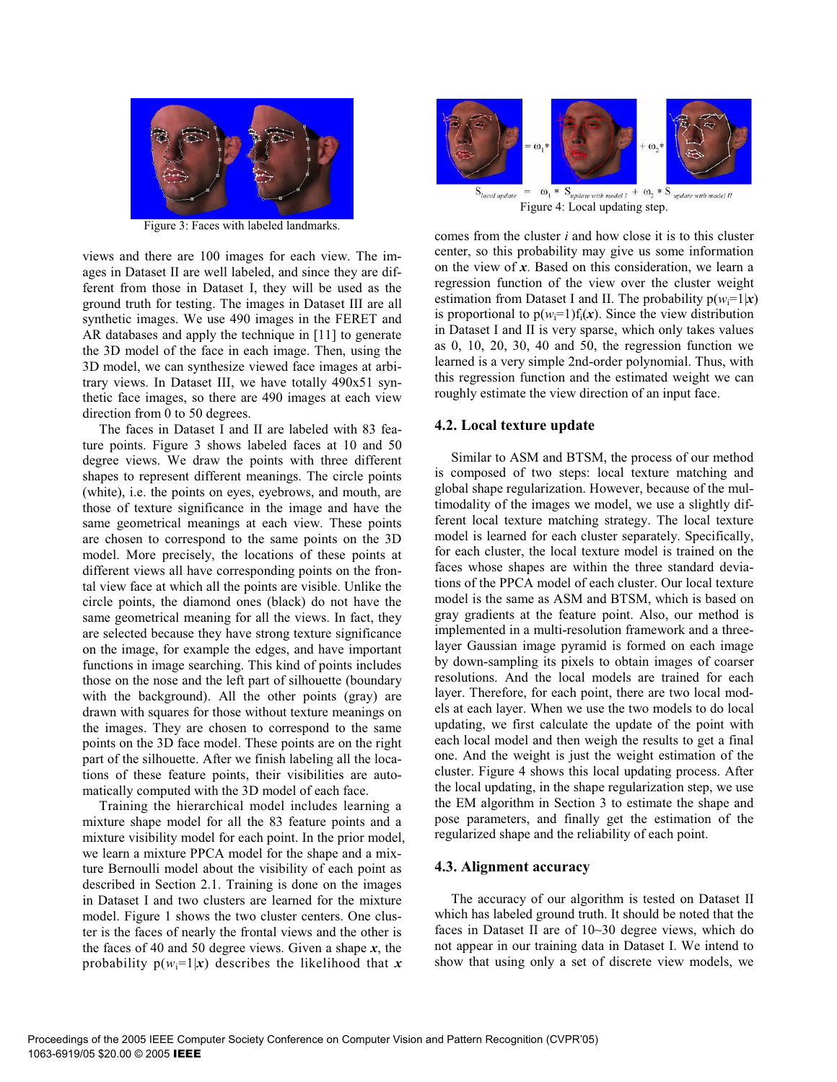

Figure 3: Faces with labeled landmarks.

views and there are 100 images for each view. The images in Dataset II are well labeled, and since they are different from those in Dataset I, they will be used as the ground truth for testing. The images in Dataset III are all synthetic images. We use 490 images in the FERET and AR databases and apply the technique in [11] to generate the 3D model of the face in each image. Then, using the 3D model, we can synthesize viewed face images at arbitrary views. In Dataset III, we have totally 490x51 synthetic face images, so there are 490 images at each view direction from 0 to 50 degrees.

The faces in Dataset I and II are labeled with 83 feature points. Figure 3 shows labeled faces at 10 and 50 degree views. We draw the points with three different shapes to represent different meanings. The circle points (white), i.e. the points on eyes, eyebrows, and mouth, are those of texture significance in the image and have the same geometrical meanings at each view. These points are chosen to correspond to the same points on the 3D model. More precisely, the locations of these points at different views all have corresponding points on the frontal view face at which all the points are visible. Unlike the circle points, the diamond ones (black) do not have the same geometrical meaning for all the views. In fact, they are selected because they have strong texture significance on the image, for example the edges, and have important functions in image searching. This kind of points includes those on the nose and the left part of silhouette (boundary with the background). All the other points (gray) are drawn with squares for those without texture meanings on the images. They are chosen to correspond to the same points on the 3D face model. These points are on the right part of the silhouette. After we finish labeling all the locations of these feature points, their visibilities are automatically computed with the 3D model of each face.

Training the hierarchical model includes learning a mixture shape model for all the 83 feature points and a mixture visibility model for each point. In the prior model, we learn a mixture PPCA model for the shape and a mixture Bernoulli model about the visibility of each point as described in Section 2.1. Training is done on the images in Dataset I and two clusters are learned for the mixture model. Figure 1 shows the two cluster centers. One cluster is the faces of nearly the frontal views and the other is the faces of 40 and 50 degree views. Given a shape *x*, the probability  $p(w_i=1|x)$  describes the likelihood that x



comes from the cluster *i* and how close it is to this cluster center, so this probability may give us some information on the view of *x*. Based on this consideration, we learn a regression function of the view over the cluster weight estimation from Dataset I and II. The probability  $p(w_i=1|x)$ is proportional to  $p(w_i=1) f_i(x)$ . Since the view distribution in Dataset I and II is very sparse, which only takes values as 0, 10, 20, 30, 40 and 50, the regression function we learned is a very simple 2nd-order polynomial. Thus, with this regression function and the estimated weight we can roughly estimate the view direction of an input face.

## **4.2. Local texture update**

Similar to ASM and BTSM, the process of our method is composed of two steps: local texture matching and global shape regularization. However, because of the multimodality of the images we model, we use a slightly different local texture matching strategy. The local texture model is learned for each cluster separately. Specifically, for each cluster, the local texture model is trained on the faces whose shapes are within the three standard deviations of the PPCA model of each cluster. Our local texture model is the same as ASM and BTSM, which is based on gray gradients at the feature point. Also, our method is implemented in a multi-resolution framework and a threelayer Gaussian image pyramid is formed on each image by down-sampling its pixels to obtain images of coarser resolutions. And the local models are trained for each layer. Therefore, for each point, there are two local models at each layer. When we use the two models to do local updating, we first calculate the update of the point with each local model and then weigh the results to get a final one. And the weight is just the weight estimation of the cluster. Figure 4 shows this local updating process. After the local updating, in the shape regularization step, we use the EM algorithm in Section 3 to estimate the shape and pose parameters, and finally get the estimation of the regularized shape and the reliability of each point.

## **4.3. Alignment accuracy**

The accuracy of our algorithm is tested on Dataset II which has labeled ground truth. It should be noted that the faces in Dataset II are of 10~30 degree views, which do not appear in our training data in Dataset I. We intend to show that using only a set of discrete view models, we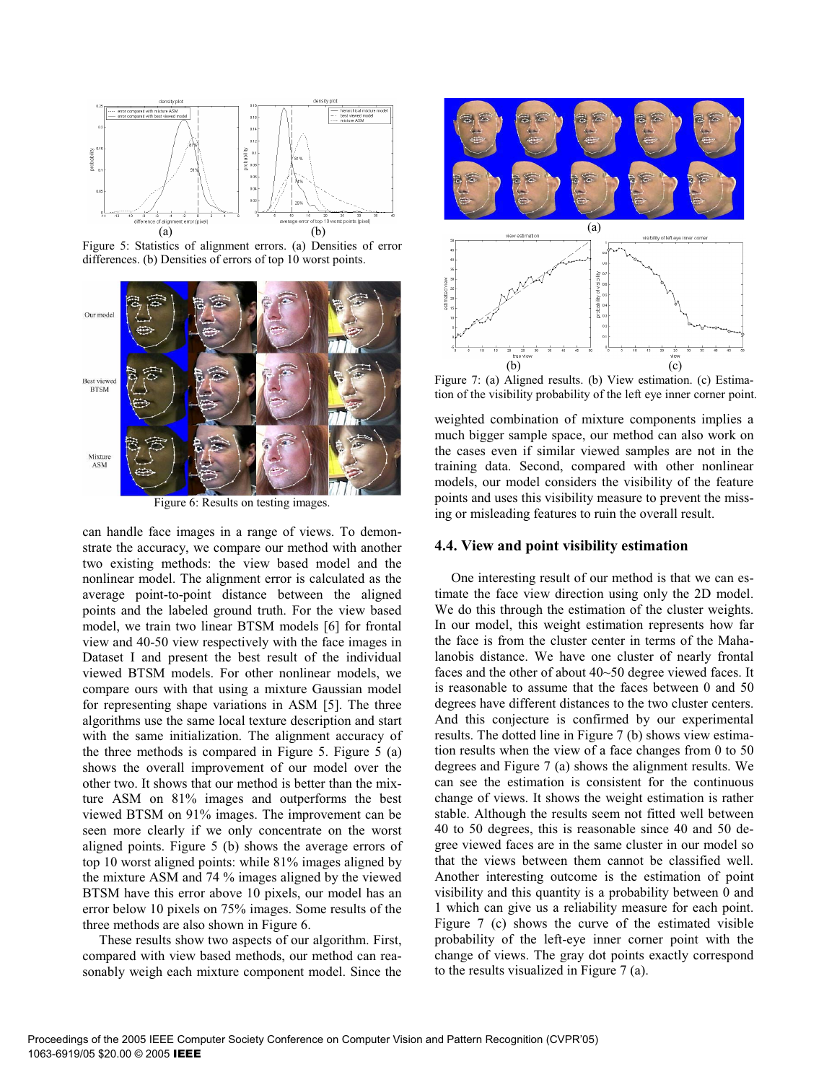

Figure 5: Statistics of alignment errors. (a) Densities of error differences. (b) Densities of errors of top 10 worst points.



Figure 6: Results on testing images.

can handle face images in a range of views. To demonstrate the accuracy, we compare our method with another two existing methods: the view based model and the nonlinear model. The alignment error is calculated as the average point-to-point distance between the aligned points and the labeled ground truth. For the view based model, we train two linear BTSM models [6] for frontal view and 40-50 view respectively with the face images in Dataset I and present the best result of the individual viewed BTSM models. For other nonlinear models, we compare ours with that using a mixture Gaussian model for representing shape variations in ASM [5]. The three algorithms use the same local texture description and start with the same initialization. The alignment accuracy of the three methods is compared in Figure 5. Figure 5 (a) shows the overall improvement of our model over the other two. It shows that our method is better than the mixture ASM on 81% images and outperforms the best viewed BTSM on 91% images. The improvement can be seen more clearly if we only concentrate on the worst aligned points. Figure 5 (b) shows the average errors of top 10 worst aligned points: while 81% images aligned by the mixture ASM and 74 % images aligned by the viewed BTSM have this error above 10 pixels, our model has an error below 10 pixels on 75% images. Some results of the three methods are also shown in Figure 6.

These results show two aspects of our algorithm. First, compared with view based methods, our method can reasonably weigh each mixture component model. Since the



Figure 7: (a) Aligned results. (b) View estimation. (c) Estimation of the visibility probability of the left eye inner corner point.

weighted combination of mixture components implies a much bigger sample space, our method can also work on the cases even if similar viewed samples are not in the training data. Second, compared with other nonlinear models, our model considers the visibility of the feature points and uses this visibility measure to prevent the missing or misleading features to ruin the overall result.

#### **4.4. View and point visibility estimation**

One interesting result of our method is that we can estimate the face view direction using only the 2D model. We do this through the estimation of the cluster weights. In our model, this weight estimation represents how far the face is from the cluster center in terms of the Mahalanobis distance. We have one cluster of nearly frontal faces and the other of about 40~50 degree viewed faces. It is reasonable to assume that the faces between 0 and 50 degrees have different distances to the two cluster centers. And this conjecture is confirmed by our experimental results. The dotted line in Figure 7 (b) shows view estimation results when the view of a face changes from 0 to 50 degrees and Figure 7 (a) shows the alignment results. We can see the estimation is consistent for the continuous change of views. It shows the weight estimation is rather stable. Although the results seem not fitted well between 40 to 50 degrees, this is reasonable since 40 and 50 degree viewed faces are in the same cluster in our model so that the views between them cannot be classified well. Another interesting outcome is the estimation of point visibility and this quantity is a probability between 0 and 1 which can give us a reliability measure for each point. Figure 7 (c) shows the curve of the estimated visible probability of the left-eye inner corner point with the change of views. The gray dot points exactly correspond to the results visualized in Figure 7 (a).